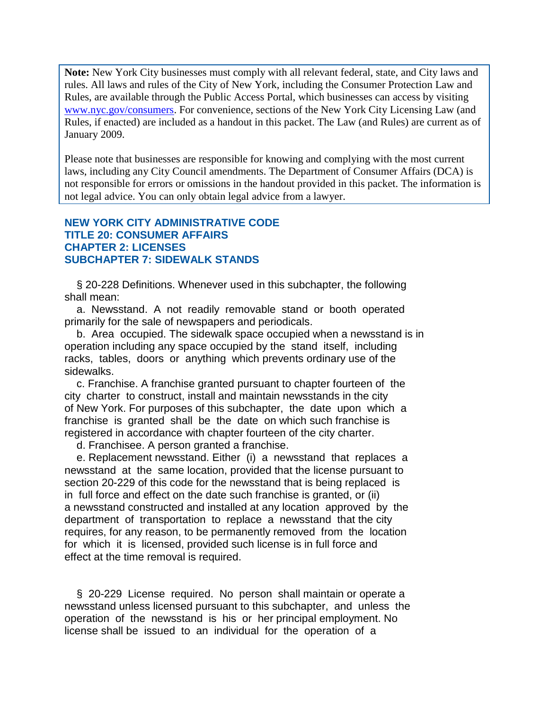**Note:** New York City businesses must comply with all relevant federal, state, and City laws and rules. All laws and rules of the City of New York, including the Consumer Protection Law and Rules, are available through the Public Access Portal, which businesses can access by visiting [www.nyc.gov/consumers.](http://www.nyc.gov/consumers) For convenience, sections of the New York City Licensing Law (and Rules, if enacted) are included as a handout in this packet. The Law (and Rules) are current as of January 2009.

Please note that businesses are responsible for knowing and complying with the most current laws, including any City Council amendments. The Department of Consumer Affairs (DCA) is not responsible for errors or omissions in the handout provided in this packet. The information is not legal advice. You can only obtain legal advice from a lawyer.

## **NEW YORK CITY ADMINISTRATIVE CODE TITLE 20: CONSUMER AFFAIRS CHAPTER 2: LICENSES SUBCHAPTER 7: SIDEWALK STANDS**

 § 20-228 Definitions. Whenever used in this subchapter, the following shall mean:

 a. Newsstand. A not readily removable stand or booth operated primarily for the sale of newspapers and periodicals.

 b. Area occupied. The sidewalk space occupied when a newsstand is in operation including any space occupied by the stand itself, including racks, tables, doors or anything which prevents ordinary use of the sidewalks.

 c. Franchise. A franchise granted pursuant to chapter fourteen of the city charter to construct, install and maintain newsstands in the city of New York. For purposes of this subchapter, the date upon which a franchise is granted shall be the date on which such franchise is registered in accordance with chapter fourteen of the city charter.

d. Franchisee. A person granted a franchise.

 e. Replacement newsstand. Either (i) a newsstand that replaces a newsstand at the same location, provided that the license pursuant to section 20-229 of this code for the newsstand that is being replaced is in full force and effect on the date such franchise is granted, or (ii) a newsstand constructed and installed at any location approved by the department of transportation to replace a newsstand that the city requires, for any reason, to be permanently removed from the location for which it is licensed, provided such license is in full force and effect at the time removal is required.

 § 20-229 License required. No person shall maintain or operate a newsstand unless licensed pursuant to this subchapter, and unless the operation of the newsstand is his or her principal employment. No license shall be issued to an individual for the operation of a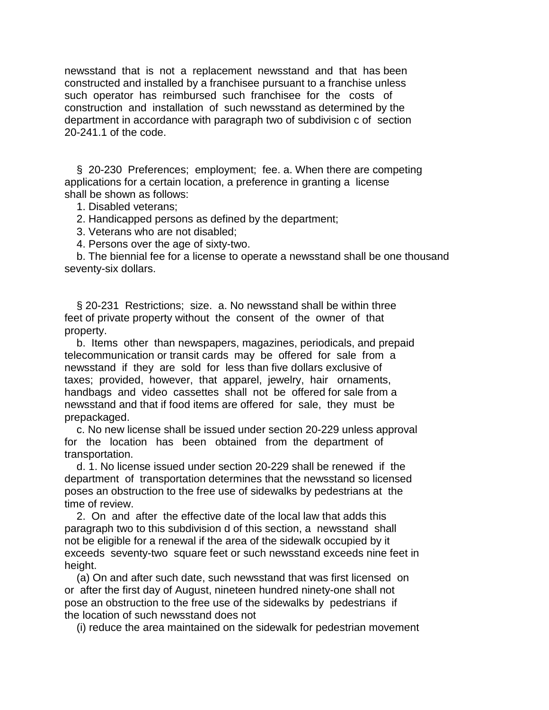newsstand that is not a replacement newsstand and that has been constructed and installed by a franchisee pursuant to a franchise unless such operator has reimbursed such franchisee for the costs of construction and installation of such newsstand as determined by the department in accordance with paragraph two of subdivision c of section 20-241.1 of the code.

 § 20-230 Preferences; employment; fee. a. When there are competing applications for a certain location, a preference in granting a license shall be shown as follows:

- 1. Disabled veterans;
- 2. Handicapped persons as defined by the department;
- 3. Veterans who are not disabled;
- 4. Persons over the age of sixty-two.

 b. The biennial fee for a license to operate a newsstand shall be one thousand seventy-six dollars.

 § 20-231 Restrictions; size. a. No newsstand shall be within three feet of private property without the consent of the owner of that property.

 b. Items other than newspapers, magazines, periodicals, and prepaid telecommunication or transit cards may be offered for sale from a newsstand if they are sold for less than five dollars exclusive of taxes; provided, however, that apparel, jewelry, hair ornaments, handbags and video cassettes shall not be offered for sale from a newsstand and that if food items are offered for sale, they must be prepackaged.

 c. No new license shall be issued under section 20-229 unless approval for the location has been obtained from the department of transportation.

 d. 1. No license issued under section 20-229 shall be renewed if the department of transportation determines that the newsstand so licensed poses an obstruction to the free use of sidewalks by pedestrians at the time of review.

 2. On and after the effective date of the local law that adds this paragraph two to this subdivision d of this section, a newsstand shall not be eligible for a renewal if the area of the sidewalk occupied by it exceeds seventy-two square feet or such newsstand exceeds nine feet in height.

 (a) On and after such date, such newsstand that was first licensed on or after the first day of August, nineteen hundred ninety-one shall not pose an obstruction to the free use of the sidewalks by pedestrians if the location of such newsstand does not

(i) reduce the area maintained on the sidewalk for pedestrian movement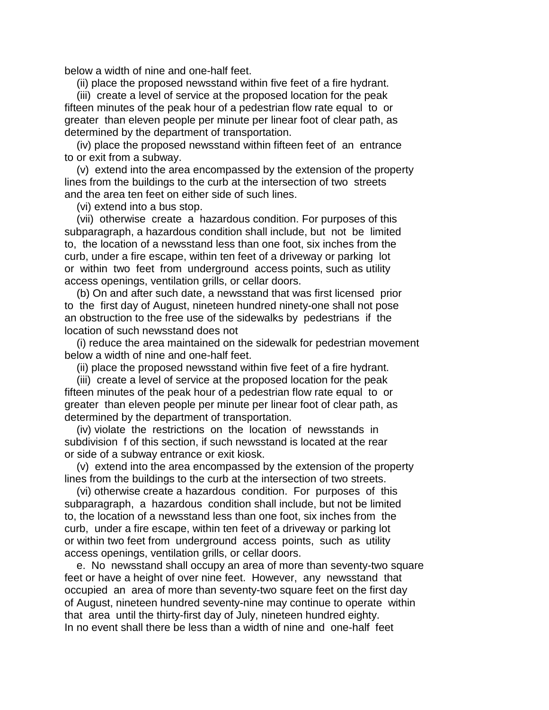below a width of nine and one-half feet.

(ii) place the proposed newsstand within five feet of a fire hydrant.

 (iii) create a level of service at the proposed location for the peak fifteen minutes of the peak hour of a pedestrian flow rate equal to or greater than eleven people per minute per linear foot of clear path, as determined by the department of transportation.

 (iv) place the proposed newsstand within fifteen feet of an entrance to or exit from a subway.

 (v) extend into the area encompassed by the extension of the property lines from the buildings to the curb at the intersection of two streets and the area ten feet on either side of such lines.

(vi) extend into a bus stop.

 (vii) otherwise create a hazardous condition. For purposes of this subparagraph, a hazardous condition shall include, but not be limited to, the location of a newsstand less than one foot, six inches from the curb, under a fire escape, within ten feet of a driveway or parking lot or within two feet from underground access points, such as utility access openings, ventilation grills, or cellar doors.

 (b) On and after such date, a newsstand that was first licensed prior to the first day of August, nineteen hundred ninety-one shall not pose an obstruction to the free use of the sidewalks by pedestrians if the location of such newsstand does not

 (i) reduce the area maintained on the sidewalk for pedestrian movement below a width of nine and one-half feet.

(ii) place the proposed newsstand within five feet of a fire hydrant.

 (iii) create a level of service at the proposed location for the peak fifteen minutes of the peak hour of a pedestrian flow rate equal to or greater than eleven people per minute per linear foot of clear path, as determined by the department of transportation.

 (iv) violate the restrictions on the location of newsstands in subdivision f of this section, if such newsstand is located at the rear or side of a subway entrance or exit kiosk.

 (v) extend into the area encompassed by the extension of the property lines from the buildings to the curb at the intersection of two streets.

 (vi) otherwise create a hazardous condition. For purposes of this subparagraph, a hazardous condition shall include, but not be limited to, the location of a newsstand less than one foot, six inches from the curb, under a fire escape, within ten feet of a driveway or parking lot or within two feet from underground access points, such as utility access openings, ventilation grills, or cellar doors.

 e. No newsstand shall occupy an area of more than seventy-two square feet or have a height of over nine feet. However, any newsstand that occupied an area of more than seventy-two square feet on the first day of August, nineteen hundred seventy-nine may continue to operate within that area until the thirty-first day of July, nineteen hundred eighty. In no event shall there be less than a width of nine and one-half feet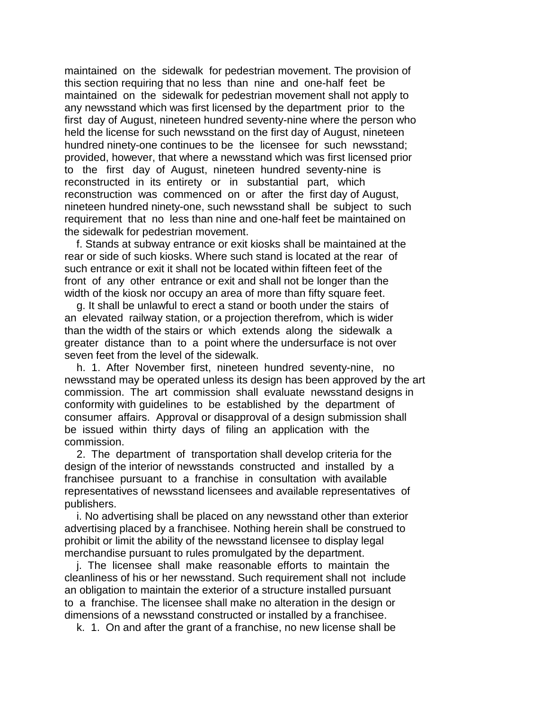maintained on the sidewalk for pedestrian movement. The provision of this section requiring that no less than nine and one-half feet be maintained on the sidewalk for pedestrian movement shall not apply to any newsstand which was first licensed by the department prior to the first day of August, nineteen hundred seventy-nine where the person who held the license for such newsstand on the first day of August, nineteen hundred ninety-one continues to be the licensee for such newsstand; provided, however, that where a newsstand which was first licensed prior to the first day of August, nineteen hundred seventy-nine is reconstructed in its entirety or in substantial part, which reconstruction was commenced on or after the first day of August, nineteen hundred ninety-one, such newsstand shall be subject to such requirement that no less than nine and one-half feet be maintained on the sidewalk for pedestrian movement.

 f. Stands at subway entrance or exit kiosks shall be maintained at the rear or side of such kiosks. Where such stand is located at the rear of such entrance or exit it shall not be located within fifteen feet of the front of any other entrance or exit and shall not be longer than the width of the kiosk nor occupy an area of more than fifty square feet.

 g. It shall be unlawful to erect a stand or booth under the stairs of an elevated railway station, or a projection therefrom, which is wider than the width of the stairs or which extends along the sidewalk a greater distance than to a point where the undersurface is not over seven feet from the level of the sidewalk.

 h. 1. After November first, nineteen hundred seventy-nine, no newsstand may be operated unless its design has been approved by the art commission. The art commission shall evaluate newsstand designs in conformity with guidelines to be established by the department of consumer affairs. Approval or disapproval of a design submission shall be issued within thirty days of filing an application with the commission.

 2. The department of transportation shall develop criteria for the design of the interior of newsstands constructed and installed by a franchisee pursuant to a franchise in consultation with available representatives of newsstand licensees and available representatives of publishers.

 i. No advertising shall be placed on any newsstand other than exterior advertising placed by a franchisee. Nothing herein shall be construed to prohibit or limit the ability of the newsstand licensee to display legal merchandise pursuant to rules promulgated by the department.

 j. The licensee shall make reasonable efforts to maintain the cleanliness of his or her newsstand. Such requirement shall not include an obligation to maintain the exterior of a structure installed pursuant to a franchise. The licensee shall make no alteration in the design or dimensions of a newsstand constructed or installed by a franchisee.

k. 1. On and after the grant of a franchise, no new license shall be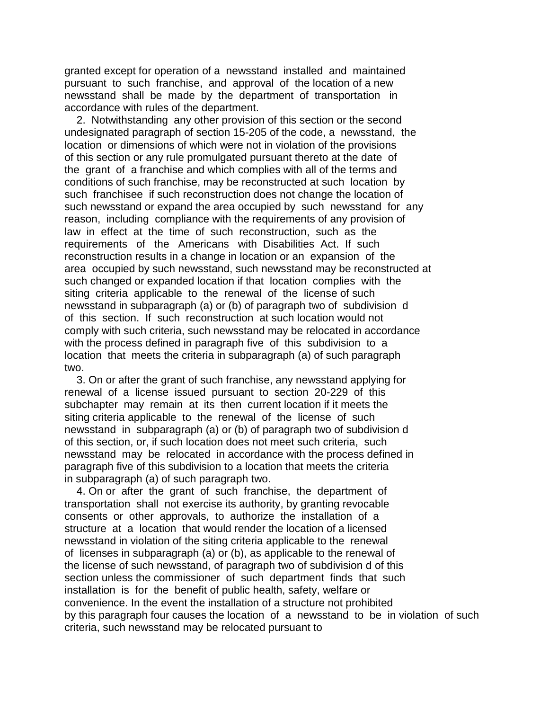granted except for operation of a newsstand installed and maintained pursuant to such franchise, and approval of the location of a new newsstand shall be made by the department of transportation in accordance with rules of the department.

 2. Notwithstanding any other provision of this section or the second undesignated paragraph of section 15-205 of the code, a newsstand, the location or dimensions of which were not in violation of the provisions of this section or any rule promulgated pursuant thereto at the date of the grant of a franchise and which complies with all of the terms and conditions of such franchise, may be reconstructed at such location by such franchisee if such reconstruction does not change the location of such newsstand or expand the area occupied by such newsstand for any reason, including compliance with the requirements of any provision of law in effect at the time of such reconstruction, such as the requirements of the Americans with Disabilities Act. If such reconstruction results in a change in location or an expansion of the area occupied by such newsstand, such newsstand may be reconstructed at such changed or expanded location if that location complies with the siting criteria applicable to the renewal of the license of such newsstand in subparagraph (a) or (b) of paragraph two of subdivision d of this section. If such reconstruction at such location would not comply with such criteria, such newsstand may be relocated in accordance with the process defined in paragraph five of this subdivision to a location that meets the criteria in subparagraph (a) of such paragraph two.

 3. On or after the grant of such franchise, any newsstand applying for renewal of a license issued pursuant to section 20-229 of this subchapter may remain at its then current location if it meets the siting criteria applicable to the renewal of the license of such newsstand in subparagraph (a) or (b) of paragraph two of subdivision d of this section, or, if such location does not meet such criteria, such newsstand may be relocated in accordance with the process defined in paragraph five of this subdivision to a location that meets the criteria in subparagraph (a) of such paragraph two.

 4. On or after the grant of such franchise, the department of transportation shall not exercise its authority, by granting revocable consents or other approvals, to authorize the installation of a structure at a location that would render the location of a licensed newsstand in violation of the siting criteria applicable to the renewal of licenses in subparagraph (a) or (b), as applicable to the renewal of the license of such newsstand, of paragraph two of subdivision d of this section unless the commissioner of such department finds that such installation is for the benefit of public health, safety, welfare or convenience. In the event the installation of a structure not prohibited by this paragraph four causes the location of a newsstand to be in violation of such criteria, such newsstand may be relocated pursuant to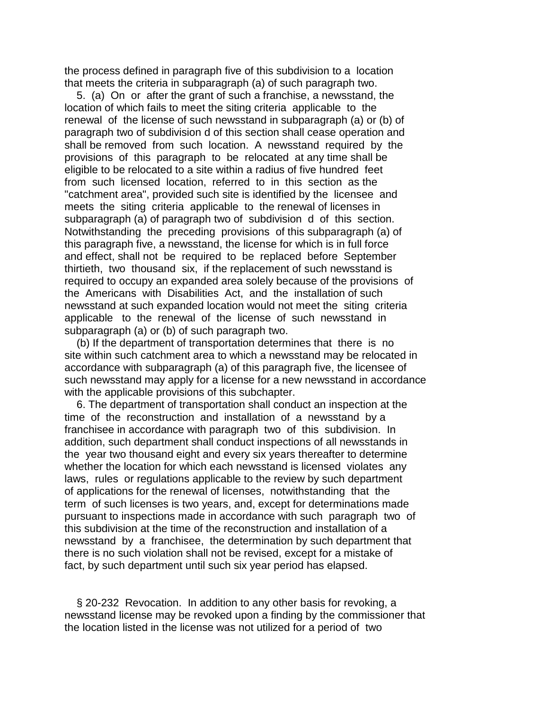the process defined in paragraph five of this subdivision to a location that meets the criteria in subparagraph (a) of such paragraph two.

 5. (a) On or after the grant of such a franchise, a newsstand, the location of which fails to meet the siting criteria applicable to the renewal of the license of such newsstand in subparagraph (a) or (b) of paragraph two of subdivision d of this section shall cease operation and shall be removed from such location. A newsstand required by the provisions of this paragraph to be relocated at any time shall be eligible to be relocated to a site within a radius of five hundred feet from such licensed location, referred to in this section as the "catchment area", provided such site is identified by the licensee and meets the siting criteria applicable to the renewal of licenses in subparagraph (a) of paragraph two of subdivision d of this section. Notwithstanding the preceding provisions of this subparagraph (a) of this paragraph five, a newsstand, the license for which is in full force and effect, shall not be required to be replaced before September thirtieth, two thousand six, if the replacement of such newsstand is required to occupy an expanded area solely because of the provisions of the Americans with Disabilities Act, and the installation of such newsstand at such expanded location would not meet the siting criteria applicable to the renewal of the license of such newsstand in subparagraph (a) or (b) of such paragraph two.

 (b) If the department of transportation determines that there is no site within such catchment area to which a newsstand may be relocated in accordance with subparagraph (a) of this paragraph five, the licensee of such newsstand may apply for a license for a new newsstand in accordance with the applicable provisions of this subchapter.

 6. The department of transportation shall conduct an inspection at the time of the reconstruction and installation of a newsstand by a franchisee in accordance with paragraph two of this subdivision. In addition, such department shall conduct inspections of all newsstands in the year two thousand eight and every six years thereafter to determine whether the location for which each newsstand is licensed violates any laws, rules or regulations applicable to the review by such department of applications for the renewal of licenses, notwithstanding that the term of such licenses is two years, and, except for determinations made pursuant to inspections made in accordance with such paragraph two of this subdivision at the time of the reconstruction and installation of a newsstand by a franchisee, the determination by such department that there is no such violation shall not be revised, except for a mistake of fact, by such department until such six year period has elapsed.

 § 20-232 Revocation. In addition to any other basis for revoking, a newsstand license may be revoked upon a finding by the commissioner that the location listed in the license was not utilized for a period of two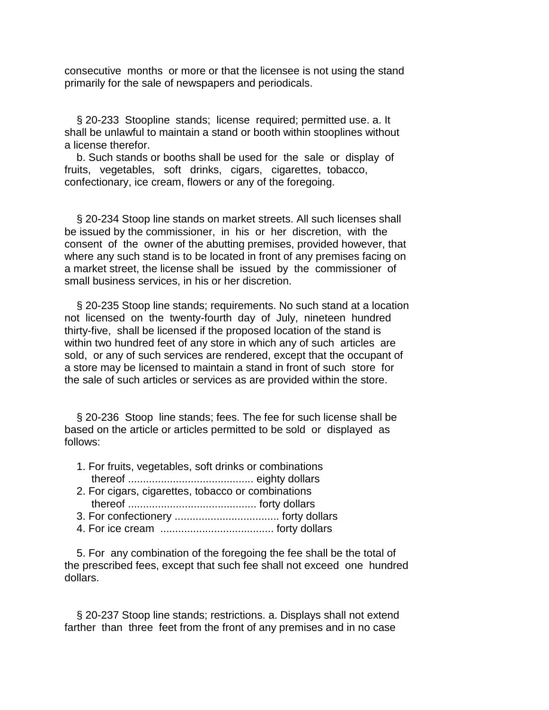consecutive months or more or that the licensee is not using the stand primarily for the sale of newspapers and periodicals.

 § 20-233 Stoopline stands; license required; permitted use. a. It shall be unlawful to maintain a stand or booth within stooplines without a license therefor.

 b. Such stands or booths shall be used for the sale or display of fruits, vegetables, soft drinks, cigars, cigarettes, tobacco, confectionary, ice cream, flowers or any of the foregoing.

 § 20-234 Stoop line stands on market streets. All such licenses shall be issued by the commissioner, in his or her discretion, with the consent of the owner of the abutting premises, provided however, that where any such stand is to be located in front of any premises facing on a market street, the license shall be issued by the commissioner of small business services, in his or her discretion.

 § 20-235 Stoop line stands; requirements. No such stand at a location not licensed on the twenty-fourth day of July, nineteen hundred thirty-five, shall be licensed if the proposed location of the stand is within two hundred feet of any store in which any of such articles are sold, or any of such services are rendered, except that the occupant of a store may be licensed to maintain a stand in front of such store for the sale of such articles or services as are provided within the store.

 § 20-236 Stoop line stands; fees. The fee for such license shall be based on the article or articles permitted to be sold or displayed as follows:

- 1. For fruits, vegetables, soft drinks or combinations thereof .......................................... eighty dollars
- 2. For cigars, cigarettes, tobacco or combinations thereof ........................................... forty dollars
- 3. For confectionery ................................... forty dollars
- 4. For ice cream ...................................... forty dollars

 5. For any combination of the foregoing the fee shall be the total of the prescribed fees, except that such fee shall not exceed one hundred dollars.

 § 20-237 Stoop line stands; restrictions. a. Displays shall not extend farther than three feet from the front of any premises and in no case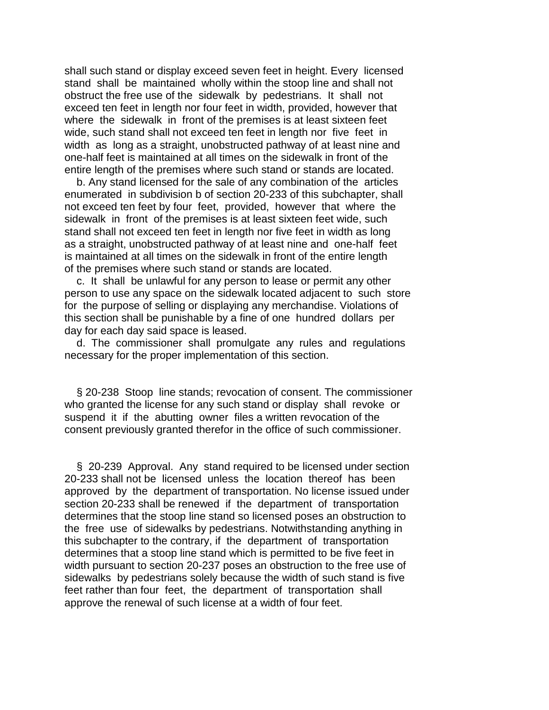shall such stand or display exceed seven feet in height. Every licensed stand shall be maintained wholly within the stoop line and shall not obstruct the free use of the sidewalk by pedestrians. It shall not exceed ten feet in length nor four feet in width, provided, however that where the sidewalk in front of the premises is at least sixteen feet wide, such stand shall not exceed ten feet in length nor five feet in width as long as a straight, unobstructed pathway of at least nine and one-half feet is maintained at all times on the sidewalk in front of the entire length of the premises where such stand or stands are located.

 b. Any stand licensed for the sale of any combination of the articles enumerated in subdivision b of section 20-233 of this subchapter, shall not exceed ten feet by four feet, provided, however that where the sidewalk in front of the premises is at least sixteen feet wide, such stand shall not exceed ten feet in length nor five feet in width as long as a straight, unobstructed pathway of at least nine and one-half feet is maintained at all times on the sidewalk in front of the entire length of the premises where such stand or stands are located.

 c. It shall be unlawful for any person to lease or permit any other person to use any space on the sidewalk located adjacent to such store for the purpose of selling or displaying any merchandise. Violations of this section shall be punishable by a fine of one hundred dollars per day for each day said space is leased.

 d. The commissioner shall promulgate any rules and regulations necessary for the proper implementation of this section.

 § 20-238 Stoop line stands; revocation of consent. The commissioner who granted the license for any such stand or display shall revoke or suspend it if the abutting owner files a written revocation of the consent previously granted therefor in the office of such commissioner.

 § 20-239 Approval. Any stand required to be licensed under section 20-233 shall not be licensed unless the location thereof has been approved by the department of transportation. No license issued under section 20-233 shall be renewed if the department of transportation determines that the stoop line stand so licensed poses an obstruction to the free use of sidewalks by pedestrians. Notwithstanding anything in this subchapter to the contrary, if the department of transportation determines that a stoop line stand which is permitted to be five feet in width pursuant to section 20-237 poses an obstruction to the free use of sidewalks by pedestrians solely because the width of such stand is five feet rather than four feet, the department of transportation shall approve the renewal of such license at a width of four feet.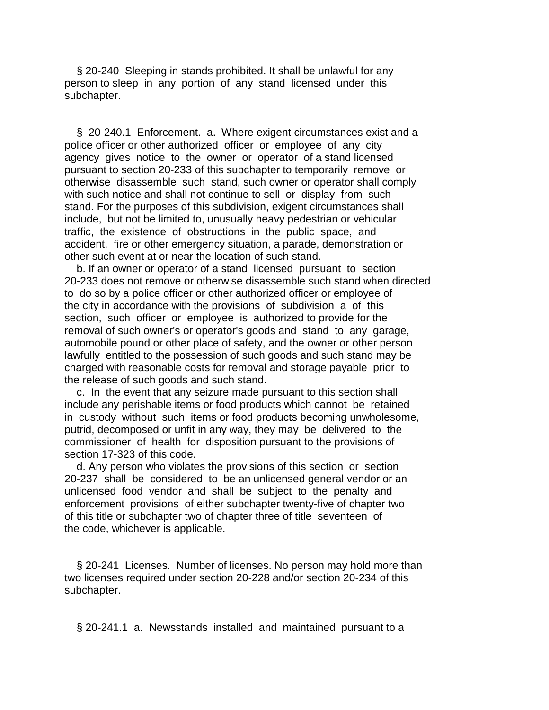§ 20-240 Sleeping in stands prohibited. It shall be unlawful for any person to sleep in any portion of any stand licensed under this subchapter.

 § 20-240.1 Enforcement. a. Where exigent circumstances exist and a police officer or other authorized officer or employee of any city agency gives notice to the owner or operator of a stand licensed pursuant to section 20-233 of this subchapter to temporarily remove or otherwise disassemble such stand, such owner or operator shall comply with such notice and shall not continue to sell or display from such stand. For the purposes of this subdivision, exigent circumstances shall include, but not be limited to, unusually heavy pedestrian or vehicular traffic, the existence of obstructions in the public space, and accident, fire or other emergency situation, a parade, demonstration or other such event at or near the location of such stand.

 b. If an owner or operator of a stand licensed pursuant to section 20-233 does not remove or otherwise disassemble such stand when directed to do so by a police officer or other authorized officer or employee of the city in accordance with the provisions of subdivision a of this section, such officer or employee is authorized to provide for the removal of such owner's or operator's goods and stand to any garage, automobile pound or other place of safety, and the owner or other person lawfully entitled to the possession of such goods and such stand may be charged with reasonable costs for removal and storage payable prior to the release of such goods and such stand.

 c. In the event that any seizure made pursuant to this section shall include any perishable items or food products which cannot be retained in custody without such items or food products becoming unwholesome, putrid, decomposed or unfit in any way, they may be delivered to the commissioner of health for disposition pursuant to the provisions of section 17-323 of this code.

 d. Any person who violates the provisions of this section or section 20-237 shall be considered to be an unlicensed general vendor or an unlicensed food vendor and shall be subject to the penalty and enforcement provisions of either subchapter twenty-five of chapter two of this title or subchapter two of chapter three of title seventeen of the code, whichever is applicable.

 § 20-241 Licenses. Number of licenses. No person may hold more than two licenses required under section 20-228 and/or section 20-234 of this subchapter.

§ 20-241.1 a. Newsstands installed and maintained pursuant to a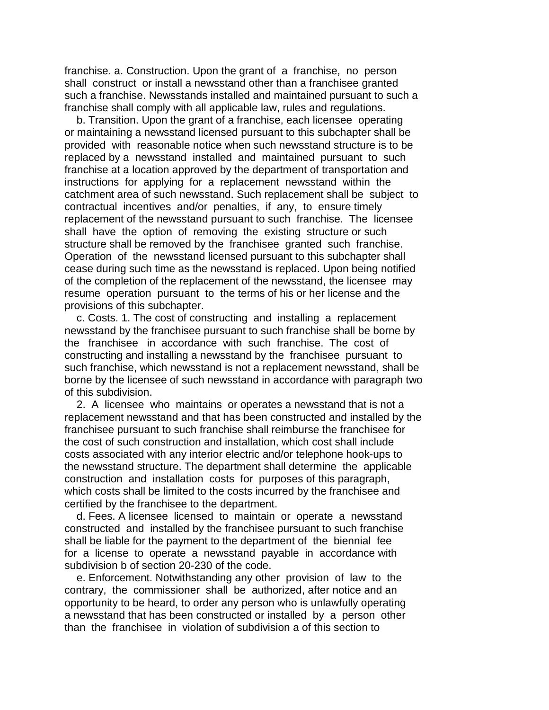franchise. a. Construction. Upon the grant of a franchise, no person shall construct or install a newsstand other than a franchisee granted such a franchise. Newsstands installed and maintained pursuant to such a franchise shall comply with all applicable law, rules and regulations.

 b. Transition. Upon the grant of a franchise, each licensee operating or maintaining a newsstand licensed pursuant to this subchapter shall be provided with reasonable notice when such newsstand structure is to be replaced by a newsstand installed and maintained pursuant to such franchise at a location approved by the department of transportation and instructions for applying for a replacement newsstand within the catchment area of such newsstand. Such replacement shall be subject to contractual incentives and/or penalties, if any, to ensure timely replacement of the newsstand pursuant to such franchise. The licensee shall have the option of removing the existing structure or such structure shall be removed by the franchisee granted such franchise. Operation of the newsstand licensed pursuant to this subchapter shall cease during such time as the newsstand is replaced. Upon being notified of the completion of the replacement of the newsstand, the licensee may resume operation pursuant to the terms of his or her license and the provisions of this subchapter.

 c. Costs. 1. The cost of constructing and installing a replacement newsstand by the franchisee pursuant to such franchise shall be borne by the franchisee in accordance with such franchise. The cost of constructing and installing a newsstand by the franchisee pursuant to such franchise, which newsstand is not a replacement newsstand, shall be borne by the licensee of such newsstand in accordance with paragraph two of this subdivision.

 2. A licensee who maintains or operates a newsstand that is not a replacement newsstand and that has been constructed and installed by the franchisee pursuant to such franchise shall reimburse the franchisee for the cost of such construction and installation, which cost shall include costs associated with any interior electric and/or telephone hook-ups to the newsstand structure. The department shall determine the applicable construction and installation costs for purposes of this paragraph, which costs shall be limited to the costs incurred by the franchisee and certified by the franchisee to the department.

 d. Fees. A licensee licensed to maintain or operate a newsstand constructed and installed by the franchisee pursuant to such franchise shall be liable for the payment to the department of the biennial fee for a license to operate a newsstand payable in accordance with subdivision b of section 20-230 of the code.

 e. Enforcement. Notwithstanding any other provision of law to the contrary, the commissioner shall be authorized, after notice and an opportunity to be heard, to order any person who is unlawfully operating a newsstand that has been constructed or installed by a person other than the franchisee in violation of subdivision a of this section to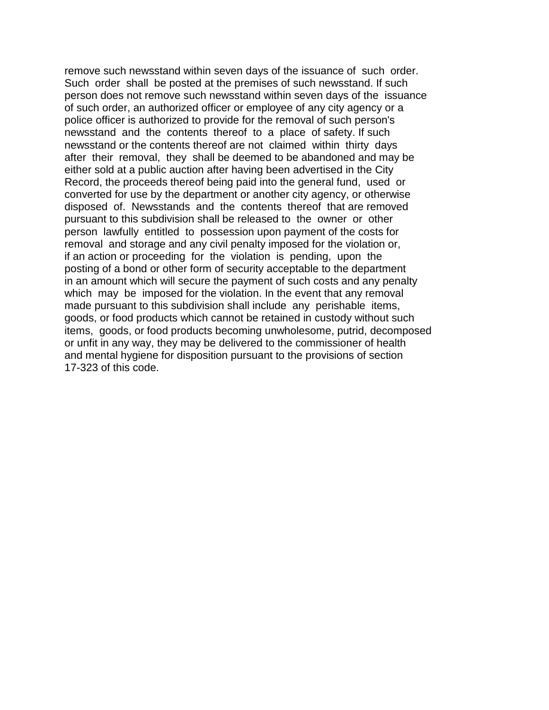remove such newsstand within seven days of the issuance of such order. Such order shall be posted at the premises of such newsstand. If such person does not remove such newsstand within seven days of the issuance of such order, an authorized officer or employee of any city agency or a police officer is authorized to provide for the removal of such person's newsstand and the contents thereof to a place of safety. If such newsstand or the contents thereof are not claimed within thirty days after their removal, they shall be deemed to be abandoned and may be either sold at a public auction after having been advertised in the City Record, the proceeds thereof being paid into the general fund, used or converted for use by the department or another city agency, or otherwise disposed of. Newsstands and the contents thereof that are removed pursuant to this subdivision shall be released to the owner or other person lawfully entitled to possession upon payment of the costs for removal and storage and any civil penalty imposed for the violation or, if an action or proceeding for the violation is pending, upon the posting of a bond or other form of security acceptable to the department in an amount which will secure the payment of such costs and any penalty which may be imposed for the violation. In the event that any removal made pursuant to this subdivision shall include any perishable items, goods, or food products which cannot be retained in custody without such items, goods, or food products becoming unwholesome, putrid, decomposed or unfit in any way, they may be delivered to the commissioner of health and mental hygiene for disposition pursuant to the provisions of section 17-323 of this code.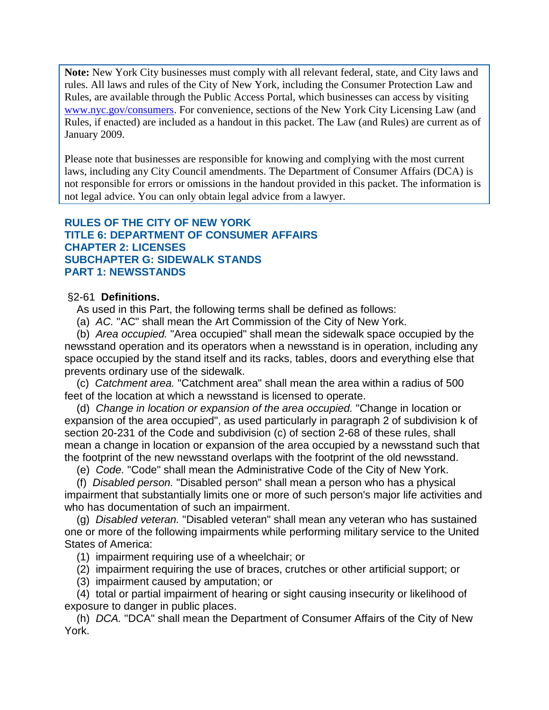**Note:** New York City businesses must comply with all relevant federal, state, and City laws and rules. All laws and rules of the City of New York, including the Consumer Protection Law and Rules, are available through the Public Access Portal, which businesses can access by visiting [www.nyc.gov/consumers.](http://www.nyc.gov/consumers) For convenience, sections of the New York City Licensing Law (and Rules, if enacted) are included as a handout in this packet. The Law (and Rules) are current as of January 2009.

Please note that businesses are responsible for knowing and complying with the most current laws, including any City Council amendments. The Department of Consumer Affairs (DCA) is not responsible for errors or omissions in the handout provided in this packet. The information is not legal advice. You can only obtain legal advice from a lawyer.

# **RULES OF THE CITY OF NEW YORK TITLE 6: DEPARTMENT OF CONSUMER AFFAIRS CHAPTER 2: LICENSES SUBCHAPTER G: SIDEWALK STANDS PART 1: NEWSSTANDS**

## §2-61 **Definitions.**

As used in this Part, the following terms shall be defined as follows:

(a) *AC.* "AC" shall mean the Art Commission of the City of New York.

 (b) *Area occupied.* "Area occupied" shall mean the sidewalk space occupied by the newsstand operation and its operators when a newsstand is in operation, including any space occupied by the stand itself and its racks, tables, doors and everything else that prevents ordinary use of the sidewalk.

 (c) *Catchment area.* "Catchment area" shall mean the area within a radius of 500 feet of the location at which a newsstand is licensed to operate.

 (d) *Change in location or expansion of the area occupied.* "Change in location or expansion of the area occupied", as used particularly in paragraph 2 of subdivision k of section 20-231 of the Code and subdivision (c) of section 2-68 of these rules, shall mean a change in location or expansion of the area occupied by a newsstand such that the footprint of the new newsstand overlaps with the footprint of the old newsstand.

(e) *Code.* "Code" shall mean the Administrative Code of the City of New York.

 (f) *Disabled person.* "Disabled person" shall mean a person who has a physical impairment that substantially limits one or more of such person's major life activities and who has documentation of such an impairment.

 (g) *Disabled veteran.* "Disabled veteran" shall mean any veteran who has sustained one or more of the following impairments while performing military service to the United States of America:

(1) impairment requiring use of a wheelchair; or

(2) impairment requiring the use of braces, crutches or other artificial support; or

(3) impairment caused by amputation; or

 (4) total or partial impairment of hearing or sight causing insecurity or likelihood of exposure to danger in public places.

 (h) *DCA.* "DCA" shall mean the Department of Consumer Affairs of the City of New York.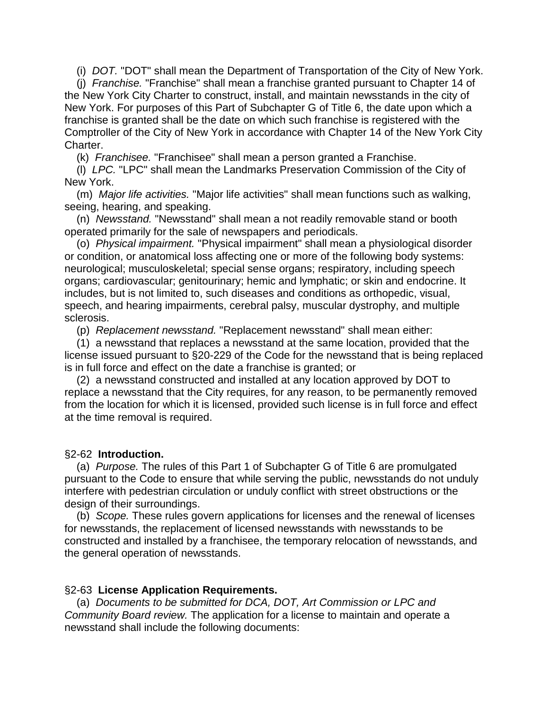(i) *DOT.* "DOT" shall mean the Department of Transportation of the City of New York.

 (j) *Franchise.* "Franchise" shall mean a franchise granted pursuant to Chapter 14 of the New York City Charter to construct, install, and maintain newsstands in the city of New York. For purposes of this Part of Subchapter G of Title 6, the date upon which a franchise is granted shall be the date on which such franchise is registered with the Comptroller of the City of New York in accordance with Chapter 14 of the New York City Charter.

(k) *Franchisee.* "Franchisee" shall mean a person granted a Franchise.

 (l) *LPC.* "LPC" shall mean the Landmarks Preservation Commission of the City of New York.

 (m) *Major life activities.* "Major life activities" shall mean functions such as walking, seeing, hearing, and speaking.

 (n) *Newsstand.* "Newsstand" shall mean a not readily removable stand or booth operated primarily for the sale of newspapers and periodicals.

 (o) *Physical impairment.* "Physical impairment" shall mean a physiological disorder or condition, or anatomical loss affecting one or more of the following body systems: neurological; musculoskeletal; special sense organs; respiratory, including speech organs; cardiovascular; genitourinary; hemic and lymphatic; or skin and endocrine. It includes, but is not limited to, such diseases and conditions as orthopedic, visual, speech, and hearing impairments, cerebral palsy, muscular dystrophy, and multiple sclerosis.

(p) *Replacement newsstand.* "Replacement newsstand" shall mean either:

 (1) a newsstand that replaces a newsstand at the same location, provided that the license issued pursuant to §20-229 of the Code for the newsstand that is being replaced is in full force and effect on the date a franchise is granted; or

 (2) a newsstand constructed and installed at any location approved by DOT to replace a newsstand that the City requires, for any reason, to be permanently removed from the location for which it is licensed, provided such license is in full force and effect at the time removal is required.

# §2-62 **Introduction.**

 (a) *Purpose.* The rules of this Part 1 of Subchapter G of Title 6 are promulgated pursuant to the Code to ensure that while serving the public, newsstands do not unduly interfere with pedestrian circulation or unduly conflict with street obstructions or the design of their surroundings.

 (b) *Scope.* These rules govern applications for licenses and the renewal of licenses for newsstands, the replacement of licensed newsstands with newsstands to be constructed and installed by a franchisee, the temporary relocation of newsstands, and the general operation of newsstands.

### §2-63 **License Application Requirements.**

 (a) *Documents to be submitted for DCA, DOT, Art Commission or LPC and Community Board review.* The application for a license to maintain and operate a newsstand shall include the following documents: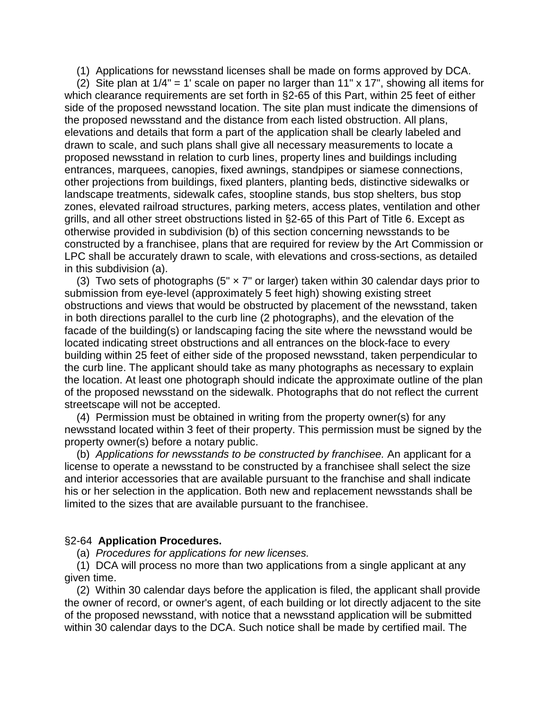(1) Applications for newsstand licenses shall be made on forms approved by DCA.

(2) Site plan at  $1/4$ " = 1' scale on paper no larger than  $11$ " x  $17$ ", showing all items for which clearance requirements are set forth in §2-65 of this Part, within 25 feet of either side of the proposed newsstand location. The site plan must indicate the dimensions of the proposed newsstand and the distance from each listed obstruction. All plans, elevations and details that form a part of the application shall be clearly labeled and drawn to scale, and such plans shall give all necessary measurements to locate a proposed newsstand in relation to curb lines, property lines and buildings including entrances, marquees, canopies, fixed awnings, standpipes or siamese connections, other projections from buildings, fixed planters, planting beds, distinctive sidewalks or landscape treatments, sidewalk cafes, stoopline stands, bus stop shelters, bus stop zones, elevated railroad structures, parking meters, access plates, ventilation and other grills, and all other street obstructions listed in §2-65 of this Part of Title 6. Except as otherwise provided in subdivision (b) of this section concerning newsstands to be constructed by a franchisee, plans that are required for review by the Art Commission or LPC shall be accurately drawn to scale, with elevations and cross-sections, as detailed in this subdivision (a).

(3) Two sets of photographs (5"  $\times$  7" or larger) taken within 30 calendar days prior to submission from eye-level (approximately 5 feet high) showing existing street obstructions and views that would be obstructed by placement of the newsstand, taken in both directions parallel to the curb line (2 photographs), and the elevation of the facade of the building(s) or landscaping facing the site where the newsstand would be located indicating street obstructions and all entrances on the block-face to every building within 25 feet of either side of the proposed newsstand, taken perpendicular to the curb line. The applicant should take as many photographs as necessary to explain the location. At least one photograph should indicate the approximate outline of the plan of the proposed newsstand on the sidewalk. Photographs that do not reflect the current streetscape will not be accepted.

 (4) Permission must be obtained in writing from the property owner(s) for any newsstand located within 3 feet of their property. This permission must be signed by the property owner(s) before a notary public.

 (b) *Applications for newsstands to be constructed by franchisee.* An applicant for a license to operate a newsstand to be constructed by a franchisee shall select the size and interior accessories that are available pursuant to the franchise and shall indicate his or her selection in the application. Both new and replacement newsstands shall be limited to the sizes that are available pursuant to the franchisee.

### §2-64 **Application Procedures.**

(a) *Procedures for applications for new licenses.*

 (1) DCA will process no more than two applications from a single applicant at any given time.

 (2) Within 30 calendar days before the application is filed, the applicant shall provide the owner of record, or owner's agent, of each building or lot directly adjacent to the site of the proposed newsstand, with notice that a newsstand application will be submitted within 30 calendar days to the DCA. Such notice shall be made by certified mail. The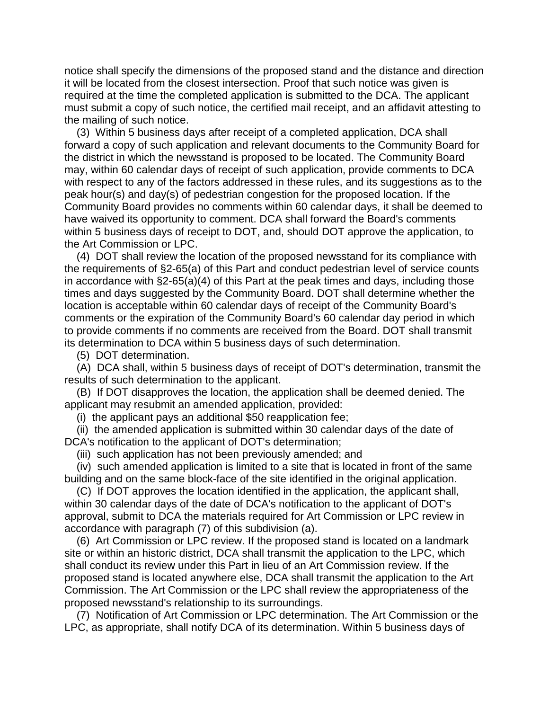notice shall specify the dimensions of the proposed stand and the distance and direction it will be located from the closest intersection. Proof that such notice was given is required at the time the completed application is submitted to the DCA. The applicant must submit a copy of such notice, the certified mail receipt, and an affidavit attesting to the mailing of such notice.

 (3) Within 5 business days after receipt of a completed application, DCA shall forward a copy of such application and relevant documents to the Community Board for the district in which the newsstand is proposed to be located. The Community Board may, within 60 calendar days of receipt of such application, provide comments to DCA with respect to any of the factors addressed in these rules, and its suggestions as to the peak hour(s) and day(s) of pedestrian congestion for the proposed location. If the Community Board provides no comments within 60 calendar days, it shall be deemed to have waived its opportunity to comment. DCA shall forward the Board's comments within 5 business days of receipt to DOT, and, should DOT approve the application, to the Art Commission or LPC.

 (4) DOT shall review the location of the proposed newsstand for its compliance with the requirements of §2-65(a) of this Part and conduct pedestrian level of service counts in accordance with §2-65(a)(4) of this Part at the peak times and days, including those times and days suggested by the Community Board. DOT shall determine whether the location is acceptable within 60 calendar days of receipt of the Community Board's comments or the expiration of the Community Board's 60 calendar day period in which to provide comments if no comments are received from the Board. DOT shall transmit its determination to DCA within 5 business days of such determination.

(5) DOT determination.

 (A) DCA shall, within 5 business days of receipt of DOT's determination, transmit the results of such determination to the applicant.

 (B) If DOT disapproves the location, the application shall be deemed denied. The applicant may resubmit an amended application, provided:

(i) the applicant pays an additional \$50 reapplication fee;

 (ii) the amended application is submitted within 30 calendar days of the date of DCA's notification to the applicant of DOT's determination;

(iii) such application has not been previously amended; and

 (iv) such amended application is limited to a site that is located in front of the same building and on the same block-face of the site identified in the original application.

 (C) If DOT approves the location identified in the application, the applicant shall, within 30 calendar days of the date of DCA's notification to the applicant of DOT's approval, submit to DCA the materials required for Art Commission or LPC review in accordance with paragraph (7) of this subdivision (a).

 (6) Art Commission or LPC review. If the proposed stand is located on a landmark site or within an historic district, DCA shall transmit the application to the LPC, which shall conduct its review under this Part in lieu of an Art Commission review. If the proposed stand is located anywhere else, DCA shall transmit the application to the Art Commission. The Art Commission or the LPC shall review the appropriateness of the proposed newsstand's relationship to its surroundings.

 (7) Notification of Art Commission or LPC determination. The Art Commission or the LPC, as appropriate, shall notify DCA of its determination. Within 5 business days of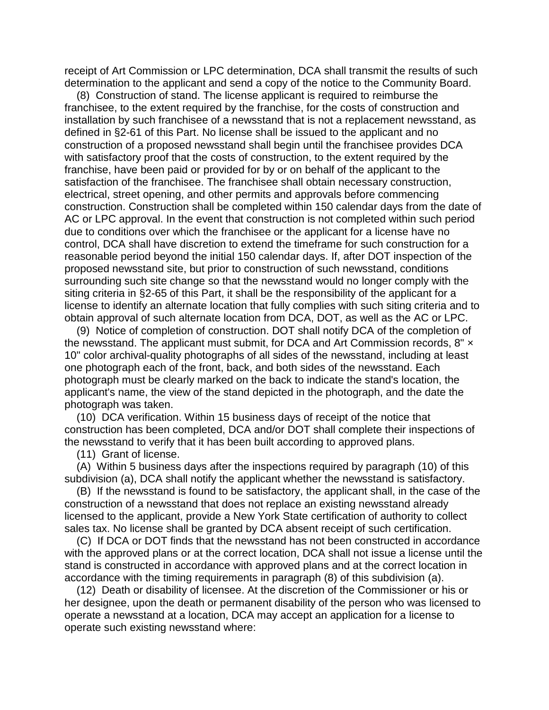receipt of Art Commission or LPC determination, DCA shall transmit the results of such determination to the applicant and send a copy of the notice to the Community Board.

 (8) Construction of stand. The license applicant is required to reimburse the franchisee, to the extent required by the franchise, for the costs of construction and installation by such franchisee of a newsstand that is not a replacement newsstand, as defined in §2-61 of this Part. No license shall be issued to the applicant and no construction of a proposed newsstand shall begin until the franchisee provides DCA with satisfactory proof that the costs of construction, to the extent required by the franchise, have been paid or provided for by or on behalf of the applicant to the satisfaction of the franchisee. The franchisee shall obtain necessary construction, electrical, street opening, and other permits and approvals before commencing construction. Construction shall be completed within 150 calendar days from the date of AC or LPC approval. In the event that construction is not completed within such period due to conditions over which the franchisee or the applicant for a license have no control, DCA shall have discretion to extend the timeframe for such construction for a reasonable period beyond the initial 150 calendar days. If, after DOT inspection of the proposed newsstand site, but prior to construction of such newsstand, conditions surrounding such site change so that the newsstand would no longer comply with the siting criteria in §2-65 of this Part, it shall be the responsibility of the applicant for a license to identify an alternate location that fully complies with such siting criteria and to obtain approval of such alternate location from DCA, DOT, as well as the AC or LPC.

 (9) Notice of completion of construction. DOT shall notify DCA of the completion of the newsstand. The applicant must submit, for DCA and Art Commission records, 8" x 10" color archival-quality photographs of all sides of the newsstand, including at least one photograph each of the front, back, and both sides of the newsstand. Each photograph must be clearly marked on the back to indicate the stand's location, the applicant's name, the view of the stand depicted in the photograph, and the date the photograph was taken.

 (10) DCA verification. Within 15 business days of receipt of the notice that construction has been completed, DCA and/or DOT shall complete their inspections of the newsstand to verify that it has been built according to approved plans.

(11) Grant of license.

 (A) Within 5 business days after the inspections required by paragraph (10) of this subdivision (a), DCA shall notify the applicant whether the newsstand is satisfactory.

 (B) If the newsstand is found to be satisfactory, the applicant shall, in the case of the construction of a newsstand that does not replace an existing newsstand already licensed to the applicant, provide a New York State certification of authority to collect sales tax. No license shall be granted by DCA absent receipt of such certification.

 (C) If DCA or DOT finds that the newsstand has not been constructed in accordance with the approved plans or at the correct location, DCA shall not issue a license until the stand is constructed in accordance with approved plans and at the correct location in accordance with the timing requirements in paragraph (8) of this subdivision (a).

 (12) Death or disability of licensee. At the discretion of the Commissioner or his or her designee, upon the death or permanent disability of the person who was licensed to operate a newsstand at a location, DCA may accept an application for a license to operate such existing newsstand where: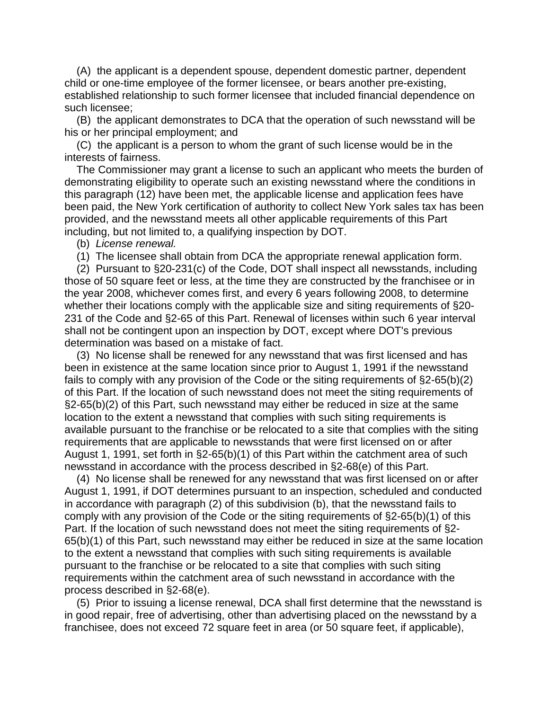(A) the applicant is a dependent spouse, dependent domestic partner, dependent child or one-time employee of the former licensee, or bears another pre-existing, established relationship to such former licensee that included financial dependence on such licensee;

 (B) the applicant demonstrates to DCA that the operation of such newsstand will be his or her principal employment; and

 (C) the applicant is a person to whom the grant of such license would be in the interests of fairness.

 The Commissioner may grant a license to such an applicant who meets the burden of demonstrating eligibility to operate such an existing newsstand where the conditions in this paragraph (12) have been met, the applicable license and application fees have been paid, the New York certification of authority to collect New York sales tax has been provided, and the newsstand meets all other applicable requirements of this Part including, but not limited to, a qualifying inspection by DOT.

(b) *License renewal.*

(1) The licensee shall obtain from DCA the appropriate renewal application form.

 (2) Pursuant to §20-231(c) of the Code, DOT shall inspect all newsstands, including those of 50 square feet or less, at the time they are constructed by the franchisee or in the year 2008, whichever comes first, and every 6 years following 2008, to determine whether their locations comply with the applicable size and siting requirements of §20-231 of the Code and §2-65 of this Part. Renewal of licenses within such 6 year interval shall not be contingent upon an inspection by DOT, except where DOT's previous determination was based on a mistake of fact.

 (3) No license shall be renewed for any newsstand that was first licensed and has been in existence at the same location since prior to August 1, 1991 if the newsstand fails to comply with any provision of the Code or the siting requirements of §2-65(b)(2) of this Part. If the location of such newsstand does not meet the siting requirements of §2-65(b)(2) of this Part, such newsstand may either be reduced in size at the same location to the extent a newsstand that complies with such siting requirements is available pursuant to the franchise or be relocated to a site that complies with the siting requirements that are applicable to newsstands that were first licensed on or after August 1, 1991, set forth in §2-65(b)(1) of this Part within the catchment area of such newsstand in accordance with the process described in §2-68(e) of this Part.

 (4) No license shall be renewed for any newsstand that was first licensed on or after August 1, 1991, if DOT determines pursuant to an inspection, scheduled and conducted in accordance with paragraph (2) of this subdivision (b), that the newsstand fails to comply with any provision of the Code or the siting requirements of §2-65(b)(1) of this Part. If the location of such newsstand does not meet the siting requirements of §2- 65(b)(1) of this Part, such newsstand may either be reduced in size at the same location to the extent a newsstand that complies with such siting requirements is available pursuant to the franchise or be relocated to a site that complies with such siting requirements within the catchment area of such newsstand in accordance with the process described in §2-68(e).

 (5) Prior to issuing a license renewal, DCA shall first determine that the newsstand is in good repair, free of advertising, other than advertising placed on the newsstand by a franchisee, does not exceed 72 square feet in area (or 50 square feet, if applicable),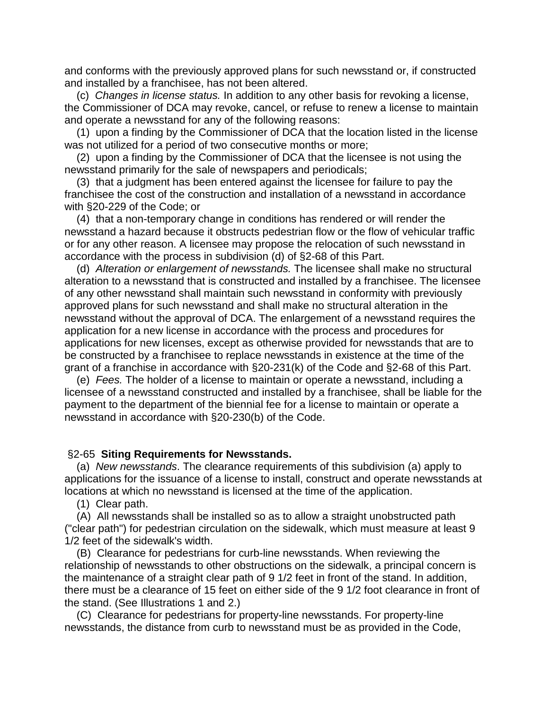and conforms with the previously approved plans for such newsstand or, if constructed and installed by a franchisee, has not been altered.

 (c) *Changes in license status.* In addition to any other basis for revoking a license, the Commissioner of DCA may revoke, cancel, or refuse to renew a license to maintain and operate a newsstand for any of the following reasons:

 (1) upon a finding by the Commissioner of DCA that the location listed in the license was not utilized for a period of two consecutive months or more;

 (2) upon a finding by the Commissioner of DCA that the licensee is not using the newsstand primarily for the sale of newspapers and periodicals;

 (3) that a judgment has been entered against the licensee for failure to pay the franchisee the cost of the construction and installation of a newsstand in accordance with §20-229 of the Code; or

 (4) that a non-temporary change in conditions has rendered or will render the newsstand a hazard because it obstructs pedestrian flow or the flow of vehicular traffic or for any other reason. A licensee may propose the relocation of such newsstand in accordance with the process in subdivision (d) of §2-68 of this Part.

 (d) *Alteration or enlargement of newsstands.* The licensee shall make no structural alteration to a newsstand that is constructed and installed by a franchisee. The licensee of any other newsstand shall maintain such newsstand in conformity with previously approved plans for such newsstand and shall make no structural alteration in the newsstand without the approval of DCA. The enlargement of a newsstand requires the application for a new license in accordance with the process and procedures for applications for new licenses, except as otherwise provided for newsstands that are to be constructed by a franchisee to replace newsstands in existence at the time of the grant of a franchise in accordance with §20-231(k) of the Code and §2-68 of this Part.

 (e) *Fees.* The holder of a license to maintain or operate a newsstand, including a licensee of a newsstand constructed and installed by a franchisee, shall be liable for the payment to the department of the biennial fee for a license to maintain or operate a newsstand in accordance with §20-230(b) of the Code.

### §2-65 **Siting Requirements for Newsstands.**

 (a) *New newsstands*. The clearance requirements of this subdivision (a) apply to applications for the issuance of a license to install, construct and operate newsstands at locations at which no newsstand is licensed at the time of the application.

(1) Clear path.

 (A) All newsstands shall be installed so as to allow a straight unobstructed path ("clear path") for pedestrian circulation on the sidewalk, which must measure at least 9 1/2 feet of the sidewalk's width.

 (B) Clearance for pedestrians for curb-line newsstands. When reviewing the relationship of newsstands to other obstructions on the sidewalk, a principal concern is the maintenance of a straight clear path of 9 1/2 feet in front of the stand. In addition, there must be a clearance of 15 feet on either side of the 9 1/2 foot clearance in front of the stand. (See Illustrations 1 and 2.)

 (C) Clearance for pedestrians for property-line newsstands. For property-line newsstands, the distance from curb to newsstand must be as provided in the Code,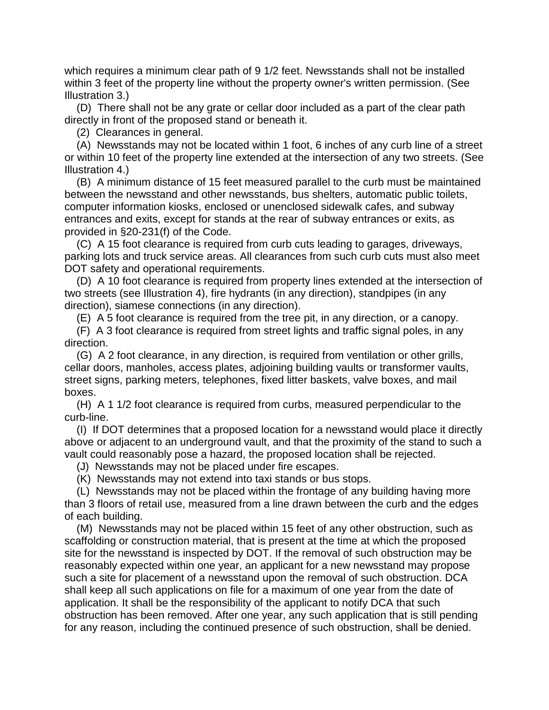which requires a minimum clear path of 9 1/2 feet. Newsstands shall not be installed within 3 feet of the property line without the property owner's written permission. (See Illustration 3.)

 (D) There shall not be any grate or cellar door included as a part of the clear path directly in front of the proposed stand or beneath it.

(2) Clearances in general.

 (A) Newsstands may not be located within 1 foot, 6 inches of any curb line of a street or within 10 feet of the property line extended at the intersection of any two streets. (See Illustration 4.)

 (B) A minimum distance of 15 feet measured parallel to the curb must be maintained between the newsstand and other newsstands, bus shelters, automatic public toilets, computer information kiosks, enclosed or unenclosed sidewalk cafes, and subway entrances and exits, except for stands at the rear of subway entrances or exits, as provided in §20-231(f) of the Code.

 (C) A 15 foot clearance is required from curb cuts leading to garages, driveways, parking lots and truck service areas. All clearances from such curb cuts must also meet DOT safety and operational requirements.

 (D) A 10 foot clearance is required from property lines extended at the intersection of two streets (see Illustration 4), fire hydrants (in any direction), standpipes (in any direction), siamese connections (in any direction).

(E) A 5 foot clearance is required from the tree pit, in any direction, or a canopy.

 (F) A 3 foot clearance is required from street lights and traffic signal poles, in any direction.

 (G) A 2 foot clearance, in any direction, is required from ventilation or other grills, cellar doors, manholes, access plates, adjoining building vaults or transformer vaults, street signs, parking meters, telephones, fixed litter baskets, valve boxes, and mail boxes.

 (H) A 1 1/2 foot clearance is required from curbs, measured perpendicular to the curb-line.

 (I) If DOT determines that a proposed location for a newsstand would place it directly above or adjacent to an underground vault, and that the proximity of the stand to such a vault could reasonably pose a hazard, the proposed location shall be rejected.

(J) Newsstands may not be placed under fire escapes.

(K) Newsstands may not extend into taxi stands or bus stops.

 (L) Newsstands may not be placed within the frontage of any building having more than 3 floors of retail use, measured from a line drawn between the curb and the edges of each building.

 (M) Newsstands may not be placed within 15 feet of any other obstruction, such as scaffolding or construction material, that is present at the time at which the proposed site for the newsstand is inspected by DOT. If the removal of such obstruction may be reasonably expected within one year, an applicant for a new newsstand may propose such a site for placement of a newsstand upon the removal of such obstruction. DCA shall keep all such applications on file for a maximum of one year from the date of application. It shall be the responsibility of the applicant to notify DCA that such obstruction has been removed. After one year, any such application that is still pending for any reason, including the continued presence of such obstruction, shall be denied.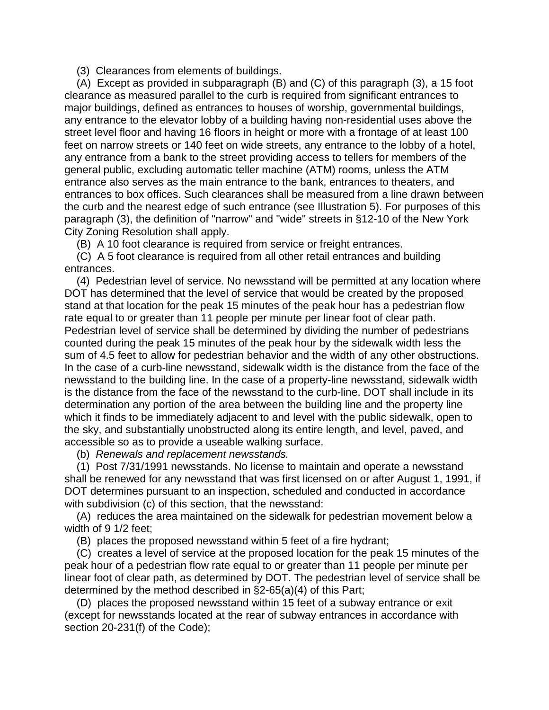(3) Clearances from elements of buildings.

 (A) Except as provided in subparagraph (B) and (C) of this paragraph (3), a 15 foot clearance as measured parallel to the curb is required from significant entrances to major buildings, defined as entrances to houses of worship, governmental buildings, any entrance to the elevator lobby of a building having non-residential uses above the street level floor and having 16 floors in height or more with a frontage of at least 100 feet on narrow streets or 140 feet on wide streets, any entrance to the lobby of a hotel, any entrance from a bank to the street providing access to tellers for members of the general public, excluding automatic teller machine (ATM) rooms, unless the ATM entrance also serves as the main entrance to the bank, entrances to theaters, and entrances to box offices. Such clearances shall be measured from a line drawn between the curb and the nearest edge of such entrance (see Illustration 5). For purposes of this paragraph (3), the definition of "narrow" and "wide" streets in §12-10 of the New York City Zoning Resolution shall apply.

(B) A 10 foot clearance is required from service or freight entrances.

 (C) A 5 foot clearance is required from all other retail entrances and building entrances.

 (4) Pedestrian level of service. No newsstand will be permitted at any location where DOT has determined that the level of service that would be created by the proposed stand at that location for the peak 15 minutes of the peak hour has a pedestrian flow rate equal to or greater than 11 people per minute per linear foot of clear path. Pedestrian level of service shall be determined by dividing the number of pedestrians counted during the peak 15 minutes of the peak hour by the sidewalk width less the sum of 4.5 feet to allow for pedestrian behavior and the width of any other obstructions. In the case of a curb-line newsstand, sidewalk width is the distance from the face of the newsstand to the building line. In the case of a property-line newsstand, sidewalk width is the distance from the face of the newsstand to the curb-line. DOT shall include in its determination any portion of the area between the building line and the property line which it finds to be immediately adjacent to and level with the public sidewalk, open to the sky, and substantially unobstructed along its entire length, and level, paved, and accessible so as to provide a useable walking surface.

(b) *Renewals and replacement newsstands.*

 (1) Post 7/31/1991 newsstands. No license to maintain and operate a newsstand shall be renewed for any newsstand that was first licensed on or after August 1, 1991, if DOT determines pursuant to an inspection, scheduled and conducted in accordance with subdivision (c) of this section, that the newsstand:

 (A) reduces the area maintained on the sidewalk for pedestrian movement below a width of 9 1/2 feet;

(B) places the proposed newsstand within 5 feet of a fire hydrant;

 (C) creates a level of service at the proposed location for the peak 15 minutes of the peak hour of a pedestrian flow rate equal to or greater than 11 people per minute per linear foot of clear path, as determined by DOT. The pedestrian level of service shall be determined by the method described in §2-65(a)(4) of this Part;

 (D) places the proposed newsstand within 15 feet of a subway entrance or exit (except for newsstands located at the rear of subway entrances in accordance with section 20-231(f) of the Code);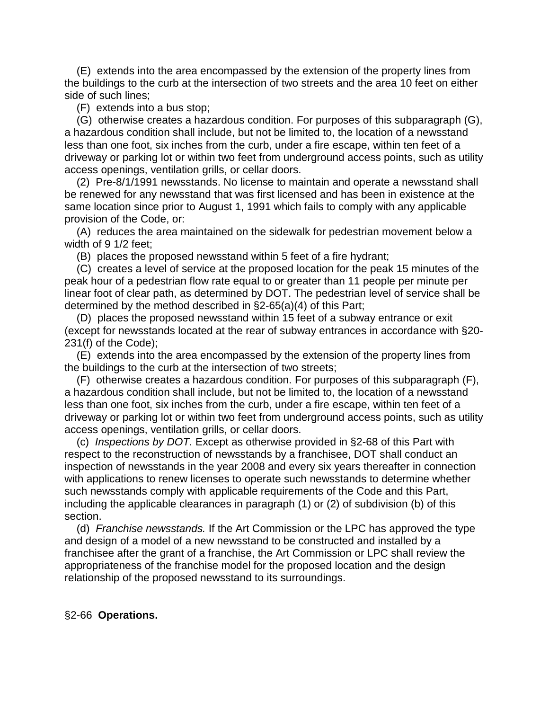(E) extends into the area encompassed by the extension of the property lines from the buildings to the curb at the intersection of two streets and the area 10 feet on either side of such lines;

(F) extends into a bus stop;

 (G) otherwise creates a hazardous condition. For purposes of this subparagraph (G), a hazardous condition shall include, but not be limited to, the location of a newsstand less than one foot, six inches from the curb, under a fire escape, within ten feet of a driveway or parking lot or within two feet from underground access points, such as utility access openings, ventilation grills, or cellar doors.

 (2) Pre-8/1/1991 newsstands. No license to maintain and operate a newsstand shall be renewed for any newsstand that was first licensed and has been in existence at the same location since prior to August 1, 1991 which fails to comply with any applicable provision of the Code, or:

 (A) reduces the area maintained on the sidewalk for pedestrian movement below a width of 9 1/2 feet;

(B) places the proposed newsstand within 5 feet of a fire hydrant;

 (C) creates a level of service at the proposed location for the peak 15 minutes of the peak hour of a pedestrian flow rate equal to or greater than 11 people per minute per linear foot of clear path, as determined by DOT. The pedestrian level of service shall be determined by the method described in §2-65(a)(4) of this Part;

 (D) places the proposed newsstand within 15 feet of a subway entrance or exit (except for newsstands located at the rear of subway entrances in accordance with §20- 231(f) of the Code);

 (E) extends into the area encompassed by the extension of the property lines from the buildings to the curb at the intersection of two streets;

 (F) otherwise creates a hazardous condition. For purposes of this subparagraph (F), a hazardous condition shall include, but not be limited to, the location of a newsstand less than one foot, six inches from the curb, under a fire escape, within ten feet of a driveway or parking lot or within two feet from underground access points, such as utility access openings, ventilation grills, or cellar doors.

 (c) *Inspections by DOT.* Except as otherwise provided in §2-68 of this Part with respect to the reconstruction of newsstands by a franchisee, DOT shall conduct an inspection of newsstands in the year 2008 and every six years thereafter in connection with applications to renew licenses to operate such newsstands to determine whether such newsstands comply with applicable requirements of the Code and this Part, including the applicable clearances in paragraph (1) or (2) of subdivision (b) of this section.

 (d) *Franchise newsstands.* If the Art Commission or the LPC has approved the type and design of a model of a new newsstand to be constructed and installed by a franchisee after the grant of a franchise, the Art Commission or LPC shall review the appropriateness of the franchise model for the proposed location and the design relationship of the proposed newsstand to its surroundings.

# §2-66 **Operations.**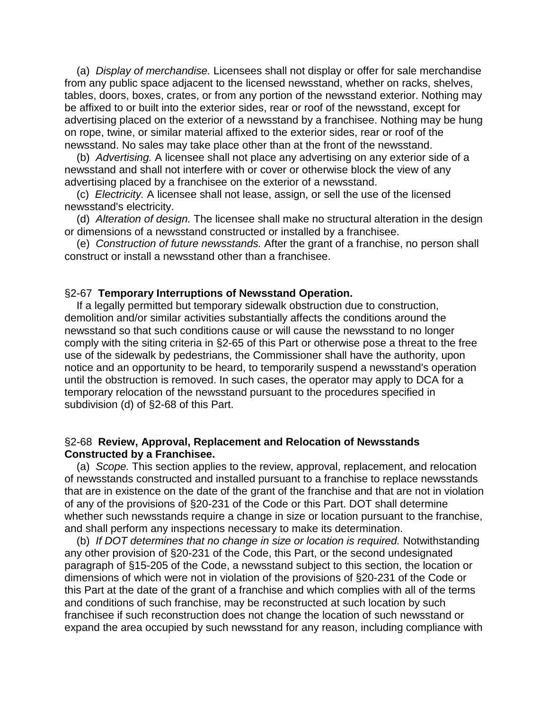(a) *Display of merchandise.* Licensees shall not display or offer for sale merchandise from any public space adjacent to the licensed newsstand, whether on racks, shelves, tables, doors, boxes, crates, or from any portion of the newsstand exterior. Nothing may be affixed to or built into the exterior sides, rear or roof of the newsstand, except for advertising placed on the exterior of a newsstand by a franchisee. Nothing may be hung on rope, twine, or similar material affixed to the exterior sides, rear or roof of the newsstand. No sales may take place other than at the front of the newsstand.

 (b) *Advertising.* A licensee shall not place any advertising on any exterior side of a newsstand and shall not interfere with or cover or otherwise block the view of any advertising placed by a franchisee on the exterior of a newsstand.

 (c) *Electricity.* A licensee shall not lease, assign, or sell the use of the licensed newsstand's electricity.

 (d) *Alteration of design.* The licensee shall make no structural alteration in the design or dimensions of a newsstand constructed or installed by a franchisee.

 (e) *Construction of future newsstands.* After the grant of a franchise, no person shall construct or install a newsstand other than a franchisee.

### §2-67 **Temporary Interruptions of Newsstand Operation.**

 If a legally permitted but temporary sidewalk obstruction due to construction, demolition and/or similar activities substantially affects the conditions around the newsstand so that such conditions cause or will cause the newsstand to no longer comply with the siting criteria in §2-65 of this Part or otherwise pose a threat to the free use of the sidewalk by pedestrians, the Commissioner shall have the authority, upon notice and an opportunity to be heard, to temporarily suspend a newsstand's operation until the obstruction is removed. In such cases, the operator may apply to DCA for a temporary relocation of the newsstand pursuant to the procedures specified in subdivision (d) of §2-68 of this Part.

### §2-68 **Review, Approval, Replacement and Relocation of Newsstands Constructed by a Franchisee.**

 (a) *Scope.* This section applies to the review, approval, replacement, and relocation of newsstands constructed and installed pursuant to a franchise to replace newsstands that are in existence on the date of the grant of the franchise and that are not in violation of any of the provisions of §20-231 of the Code or this Part. DOT shall determine whether such newsstands require a change in size or location pursuant to the franchise, and shall perform any inspections necessary to make its determination.

 (b) *If DOT determines that no change in size or location is required.* Notwithstanding any other provision of §20-231 of the Code, this Part, or the second undesignated paragraph of §15-205 of the Code, a newsstand subject to this section, the location or dimensions of which were not in violation of the provisions of §20-231 of the Code or this Part at the date of the grant of a franchise and which complies with all of the terms and conditions of such franchise, may be reconstructed at such location by such franchisee if such reconstruction does not change the location of such newsstand or expand the area occupied by such newsstand for any reason, including compliance with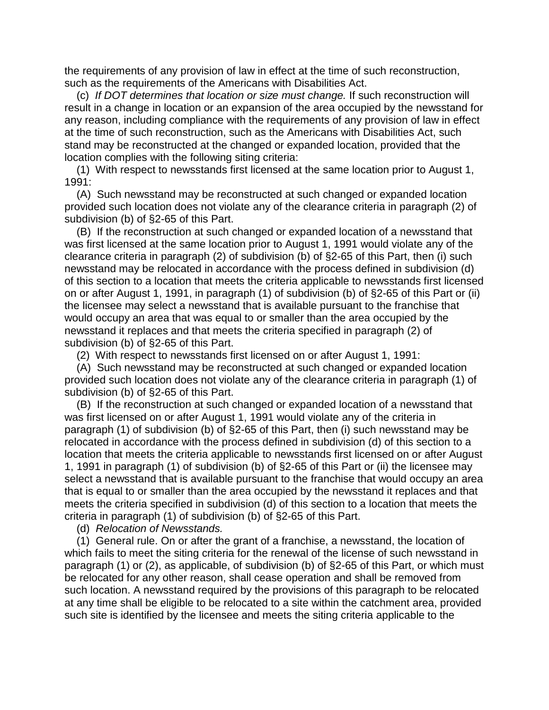the requirements of any provision of law in effect at the time of such reconstruction, such as the requirements of the Americans with Disabilities Act.

 (c) *If DOT determines that location or size must change.* If such reconstruction will result in a change in location or an expansion of the area occupied by the newsstand for any reason, including compliance with the requirements of any provision of law in effect at the time of such reconstruction, such as the Americans with Disabilities Act, such stand may be reconstructed at the changed or expanded location, provided that the location complies with the following siting criteria:

 (1) With respect to newsstands first licensed at the same location prior to August 1, 1991:

 (A) Such newsstand may be reconstructed at such changed or expanded location provided such location does not violate any of the clearance criteria in paragraph (2) of subdivision (b) of §2-65 of this Part.

 (B) If the reconstruction at such changed or expanded location of a newsstand that was first licensed at the same location prior to August 1, 1991 would violate any of the clearance criteria in paragraph (2) of subdivision (b) of §2-65 of this Part, then (i) such newsstand may be relocated in accordance with the process defined in subdivision (d) of this section to a location that meets the criteria applicable to newsstands first licensed on or after August 1, 1991, in paragraph (1) of subdivision (b) of §2-65 of this Part or (ii) the licensee may select a newsstand that is available pursuant to the franchise that would occupy an area that was equal to or smaller than the area occupied by the newsstand it replaces and that meets the criteria specified in paragraph (2) of subdivision (b) of §2-65 of this Part.

(2) With respect to newsstands first licensed on or after August 1, 1991:

 (A) Such newsstand may be reconstructed at such changed or expanded location provided such location does not violate any of the clearance criteria in paragraph (1) of subdivision (b) of §2-65 of this Part.

 (B) If the reconstruction at such changed or expanded location of a newsstand that was first licensed on or after August 1, 1991 would violate any of the criteria in paragraph (1) of subdivision (b) of §2-65 of this Part, then (i) such newsstand may be relocated in accordance with the process defined in subdivision (d) of this section to a location that meets the criteria applicable to newsstands first licensed on or after August 1, 1991 in paragraph (1) of subdivision (b) of §2-65 of this Part or (ii) the licensee may select a newsstand that is available pursuant to the franchise that would occupy an area that is equal to or smaller than the area occupied by the newsstand it replaces and that meets the criteria specified in subdivision (d) of this section to a location that meets the criteria in paragraph (1) of subdivision (b) of §2-65 of this Part.

(d) *Relocation of Newsstands.*

 (1) General rule. On or after the grant of a franchise, a newsstand, the location of which fails to meet the siting criteria for the renewal of the license of such newsstand in paragraph (1) or (2), as applicable, of subdivision (b) of §2-65 of this Part, or which must be relocated for any other reason, shall cease operation and shall be removed from such location. A newsstand required by the provisions of this paragraph to be relocated at any time shall be eligible to be relocated to a site within the catchment area, provided such site is identified by the licensee and meets the siting criteria applicable to the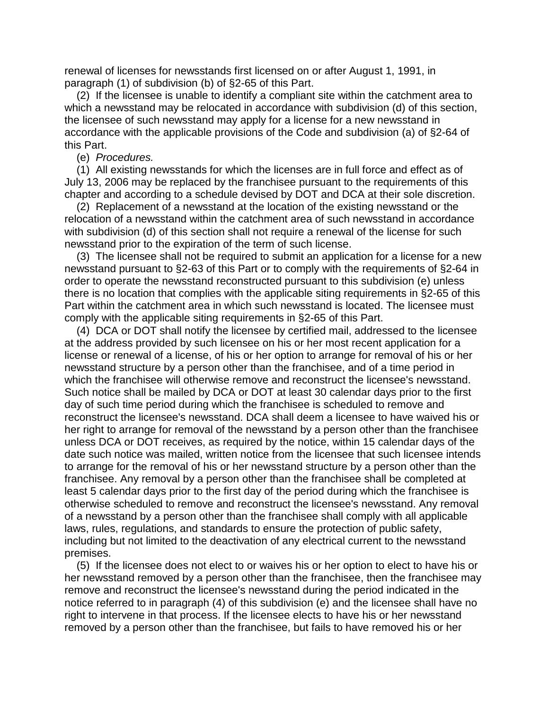renewal of licenses for newsstands first licensed on or after August 1, 1991, in paragraph (1) of subdivision (b) of §2-65 of this Part.

 (2) If the licensee is unable to identify a compliant site within the catchment area to which a newsstand may be relocated in accordance with subdivision (d) of this section, the licensee of such newsstand may apply for a license for a new newsstand in accordance with the applicable provisions of the Code and subdivision (a) of §2-64 of this Part.

#### (e) *Procedures.*

 (1) All existing newsstands for which the licenses are in full force and effect as of July 13, 2006 may be replaced by the franchisee pursuant to the requirements of this chapter and according to a schedule devised by DOT and DCA at their sole discretion.

 (2) Replacement of a newsstand at the location of the existing newsstand or the relocation of a newsstand within the catchment area of such newsstand in accordance with subdivision (d) of this section shall not require a renewal of the license for such newsstand prior to the expiration of the term of such license.

 (3) The licensee shall not be required to submit an application for a license for a new newsstand pursuant to §2-63 of this Part or to comply with the requirements of §2-64 in order to operate the newsstand reconstructed pursuant to this subdivision (e) unless there is no location that complies with the applicable siting requirements in §2-65 of this Part within the catchment area in which such newsstand is located. The licensee must comply with the applicable siting requirements in §2-65 of this Part.

 (4) DCA or DOT shall notify the licensee by certified mail, addressed to the licensee at the address provided by such licensee on his or her most recent application for a license or renewal of a license, of his or her option to arrange for removal of his or her newsstand structure by a person other than the franchisee, and of a time period in which the franchisee will otherwise remove and reconstruct the licensee's newsstand. Such notice shall be mailed by DCA or DOT at least 30 calendar days prior to the first day of such time period during which the franchisee is scheduled to remove and reconstruct the licensee's newsstand. DCA shall deem a licensee to have waived his or her right to arrange for removal of the newsstand by a person other than the franchisee unless DCA or DOT receives, as required by the notice, within 15 calendar days of the date such notice was mailed, written notice from the licensee that such licensee intends to arrange for the removal of his or her newsstand structure by a person other than the franchisee. Any removal by a person other than the franchisee shall be completed at least 5 calendar days prior to the first day of the period during which the franchisee is otherwise scheduled to remove and reconstruct the licensee's newsstand. Any removal of a newsstand by a person other than the franchisee shall comply with all applicable laws, rules, regulations, and standards to ensure the protection of public safety, including but not limited to the deactivation of any electrical current to the newsstand premises.

 (5) If the licensee does not elect to or waives his or her option to elect to have his or her newsstand removed by a person other than the franchisee, then the franchisee may remove and reconstruct the licensee's newsstand during the period indicated in the notice referred to in paragraph (4) of this subdivision (e) and the licensee shall have no right to intervene in that process. If the licensee elects to have his or her newsstand removed by a person other than the franchisee, but fails to have removed his or her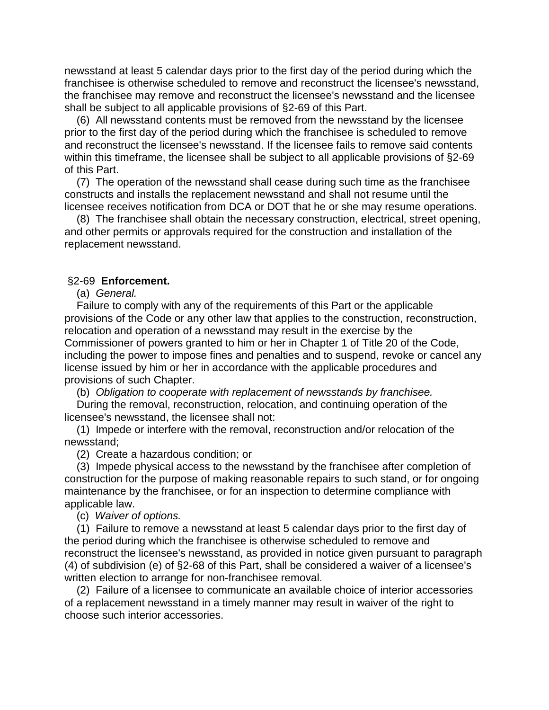newsstand at least 5 calendar days prior to the first day of the period during which the franchisee is otherwise scheduled to remove and reconstruct the licensee's newsstand, the franchisee may remove and reconstruct the licensee's newsstand and the licensee shall be subject to all applicable provisions of §2-69 of this Part.

 (6) All newsstand contents must be removed from the newsstand by the licensee prior to the first day of the period during which the franchisee is scheduled to remove and reconstruct the licensee's newsstand. If the licensee fails to remove said contents within this timeframe, the licensee shall be subject to all applicable provisions of §2-69 of this Part.

 (7) The operation of the newsstand shall cease during such time as the franchisee constructs and installs the replacement newsstand and shall not resume until the licensee receives notification from DCA or DOT that he or she may resume operations.

 (8) The franchisee shall obtain the necessary construction, electrical, street opening, and other permits or approvals required for the construction and installation of the replacement newsstand.

#### §2-69 **Enforcement.**

(a) *General.*

 Failure to comply with any of the requirements of this Part or the applicable provisions of the Code or any other law that applies to the construction, reconstruction, relocation and operation of a newsstand may result in the exercise by the Commissioner of powers granted to him or her in Chapter 1 of Title 20 of the Code, including the power to impose fines and penalties and to suspend, revoke or cancel any license issued by him or her in accordance with the applicable procedures and provisions of such Chapter.

(b) *Obligation to cooperate with replacement of newsstands by franchisee.*

 During the removal, reconstruction, relocation, and continuing operation of the licensee's newsstand, the licensee shall not:

 (1) Impede or interfere with the removal, reconstruction and/or relocation of the newsstand;

(2) Create a hazardous condition; or

 (3) Impede physical access to the newsstand by the franchisee after completion of construction for the purpose of making reasonable repairs to such stand, or for ongoing maintenance by the franchisee, or for an inspection to determine compliance with applicable law.

(c) *Waiver of options.*

 (1) Failure to remove a newsstand at least 5 calendar days prior to the first day of the period during which the franchisee is otherwise scheduled to remove and reconstruct the licensee's newsstand, as provided in notice given pursuant to paragraph (4) of subdivision (e) of §2-68 of this Part, shall be considered a waiver of a licensee's written election to arrange for non-franchisee removal.

 (2) Failure of a licensee to communicate an available choice of interior accessories of a replacement newsstand in a timely manner may result in waiver of the right to choose such interior accessories.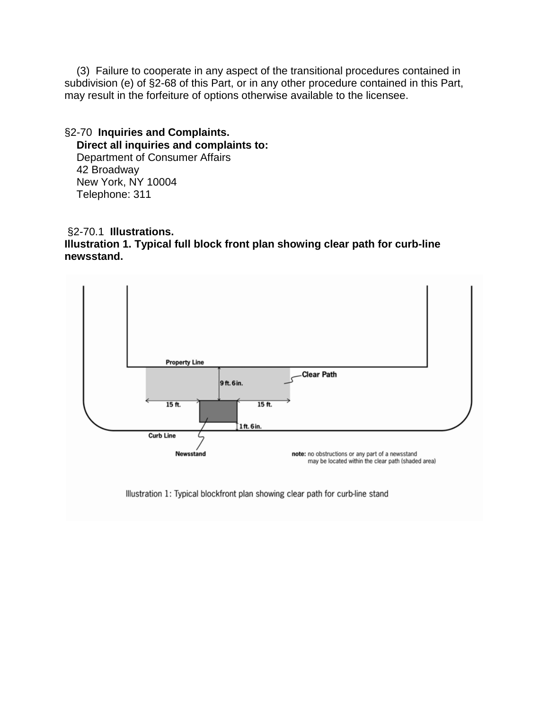(3) Failure to cooperate in any aspect of the transitional procedures contained in subdivision (e) of §2-68 of this Part, or in any other procedure contained in this Part, may result in the forfeiture of options otherwise available to the licensee.

§2-70 **Inquiries and Complaints. Direct all inquiries and complaints to:** Department of Consumer Affairs 42 Broadway New York, NY 10004 Telephone: 311

### §2-70.1 **Illustrations. Illustration 1. Typical full block front plan showing clear path for curb-line newsstand.**



Illustration 1: Typical blockfront plan showing clear path for curb-line stand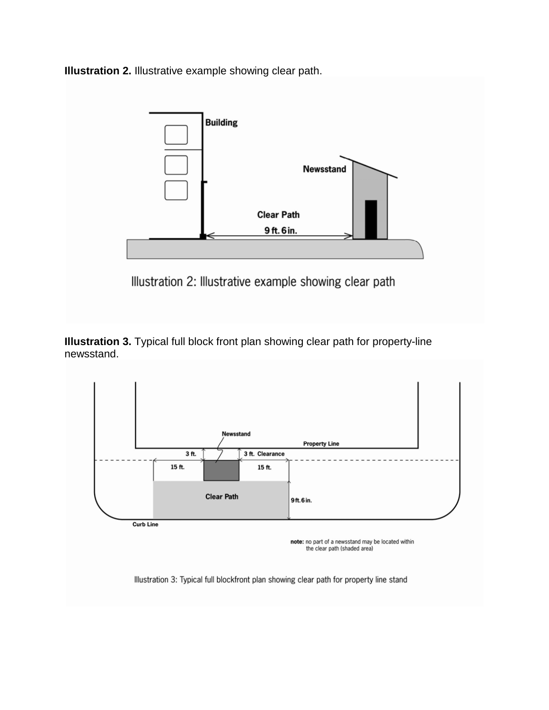**Illustration 2.** Illustrative example showing clear path.



**Illustration 3.** Typical full block front plan showing clear path for property-line newsstand.



note: no part of a newsstand may be located within the clear path (shaded area)

Illustration 3: Typical full blockfront plan showing clear path for property line stand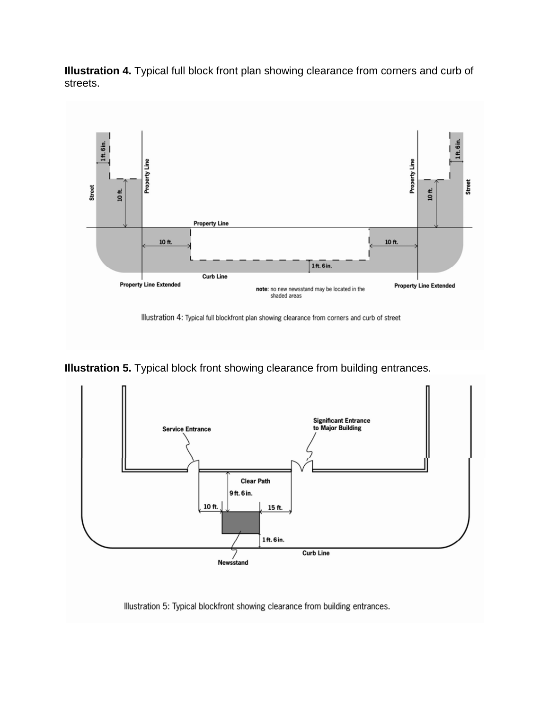



**Illustration 5.** Typical block front showing clearance from building entrances.



Illustration 5: Typical blockfront showing clearance from building entrances.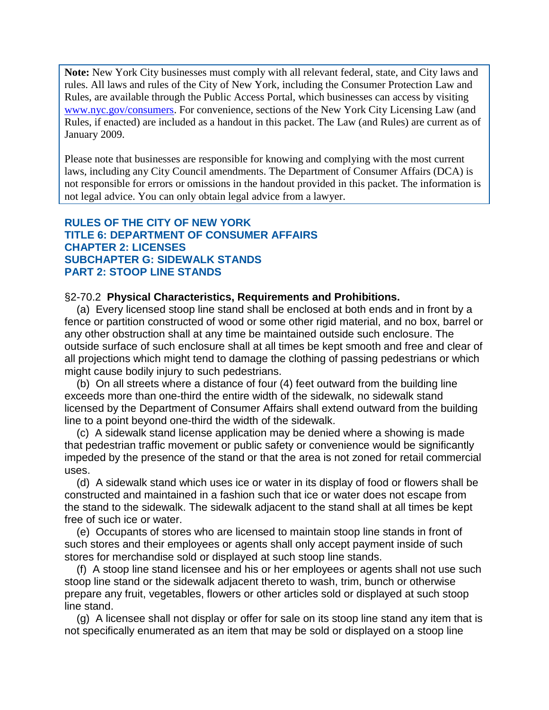**Note:** New York City businesses must comply with all relevant federal, state, and City laws and rules. All laws and rules of the City of New York, including the Consumer Protection Law and Rules, are available through the Public Access Portal, which businesses can access by visiting [www.nyc.gov/consumers.](http://www.nyc.gov/consumers) For convenience, sections of the New York City Licensing Law (and Rules, if enacted) are included as a handout in this packet. The Law (and Rules) are current as of January 2009.

Please note that businesses are responsible for knowing and complying with the most current laws, including any City Council amendments. The Department of Consumer Affairs (DCA) is not responsible for errors or omissions in the handout provided in this packet. The information is not legal advice. You can only obtain legal advice from a lawyer.

## **RULES OF THE CITY OF NEW YORK TITLE 6: DEPARTMENT OF CONSUMER AFFAIRS CHAPTER 2: LICENSES SUBCHAPTER G: SIDEWALK STANDS PART 2: STOOP LINE STANDS**

#### §2-70.2 **Physical Characteristics, Requirements and Prohibitions.**

 (a) Every licensed stoop line stand shall be enclosed at both ends and in front by a fence or partition constructed of wood or some other rigid material, and no box, barrel or any other obstruction shall at any time be maintained outside such enclosure. The outside surface of such enclosure shall at all times be kept smooth and free and clear of all projections which might tend to damage the clothing of passing pedestrians or which might cause bodily injury to such pedestrians.

 (b) On all streets where a distance of four (4) feet outward from the building line exceeds more than one-third the entire width of the sidewalk, no sidewalk stand licensed by the Department of Consumer Affairs shall extend outward from the building line to a point beyond one-third the width of the sidewalk.

 (c) A sidewalk stand license application may be denied where a showing is made that pedestrian traffic movement or public safety or convenience would be significantly impeded by the presence of the stand or that the area is not zoned for retail commercial uses.

 (d) A sidewalk stand which uses ice or water in its display of food or flowers shall be constructed and maintained in a fashion such that ice or water does not escape from the stand to the sidewalk. The sidewalk adjacent to the stand shall at all times be kept free of such ice or water.

 (e) Occupants of stores who are licensed to maintain stoop line stands in front of such stores and their employees or agents shall only accept payment inside of such stores for merchandise sold or displayed at such stoop line stands.

 (f) A stoop line stand licensee and his or her employees or agents shall not use such stoop line stand or the sidewalk adjacent thereto to wash, trim, bunch or otherwise prepare any fruit, vegetables, flowers or other articles sold or displayed at such stoop line stand.

 (g) A licensee shall not display or offer for sale on its stoop line stand any item that is not specifically enumerated as an item that may be sold or displayed on a stoop line